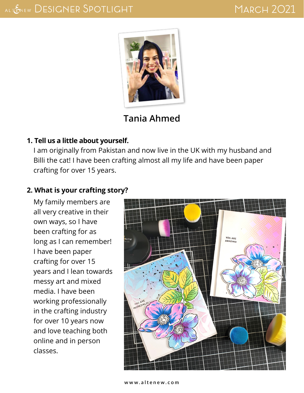

## **Tania Ahmed**

#### **1. Tell us a little about yourself.**

I am originally from Pakistan and now live in the UK with my husband and Billi the cat! I have been crafting almost all my life and have been paper crafting for over 15 years.

## **2. What is your crafting story?**

My family members are all very creative in their own ways, so I have been crafting for as long as I can remember! I have been paper crafting for over 15 years and I lean towards messy art and mixed media. I have been working professionally in the crafting industry for over 10 years now and love teaching both online and in person classes.

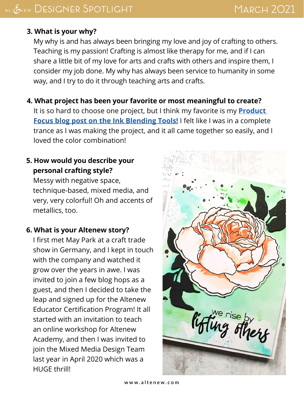# MARCH 2021

## **3. What is your why?**

My why is and has always been bringing my love and joy of crafting to others. Teaching is my passion! Crafting is almost like therapy for me, and if I can share a little bit of my love for arts and crafts with others and inspire them, I consider my job done. My why has always been service to humanity in some way, and I try to do it through teaching arts and crafts.

#### **4. What project has been your favorite or most meaningful to create?**

It is so hard to choose one project, but I think my favorite is my **[Product](https://mixedmedia.altenew.com/2020/10/06/3-mixed-media-projects-with-ink-blending-tools/)  [Focus blog post on the Ink Blending Tools!](https://mixedmedia.altenew.com/2020/10/06/3-mixed-media-projects-with-ink-blending-tools/)** I felt like I was in a complete trance as I was making the project, and it all came together so easily, and I loved the color combination!

## **5. How would you describe your personal crafting style?**

Messy with negative space, technique-based, mixed media, and very, very colorful! Oh and accents of metallics, too.

### **6. What is your Altenew story?**

I first met May Park at a craft trade show in Germany, and I kept in touch with the company and watched it grow over the years in awe. I was invited to join a few blog hops as a guest, and then I decided to take the leap and signed up for the Altenew Educator Certification Program! It all started with an invitation to teach an online workshop for Altenew Academy, and then I was invited to join the Mixed Media Design Team last year in April 2020 which was a HUGE thrill!